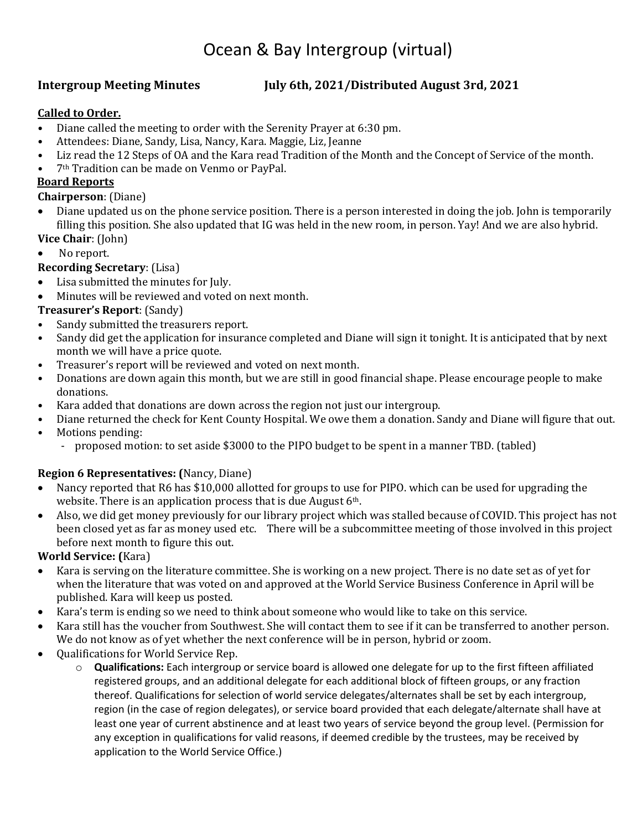# Ocean & Bay Intergroup (virtual)

### **Intergroup Meeting Minutes July 6th, 2021/Distributed August 3rd, 2021**

### **Called to Order.**

- Diane called the meeting to order with the Serenity Prayer at 6:30 pm.
- Attendees: Diane, Sandy, Lisa, Nancy, Kara. Maggie, Liz, Jeanne<br>• Liz read the 12 Stens of 0A and the Kara read Tradition of the N
- Liz read the 12 Steps of OA and the Kara read Tradition of the Month and the Concept of Service of the month.
- 7th Tradition can be made on Venmo or PayPal.

#### **Board Reports**

#### **Chairperson**: (Diane)

- Diane updated us on the phone service position. There is a person interested in doing the job. John is temporarily filling this position. She also updated that IG was held in the new room, in person. Yay! And we are also hybrid.
- **Vice Chair**: (John)
- No report.

### **Recording Secretary**: (Lisa)

- Lisa submitted the minutes for July.
- Minutes will be reviewed and voted on next month.

#### **Treasurer's Report**: (Sandy)

- Sandy submitted the treasurers report.<br>• Sandy did get the annication for insura
- Sandy did get the application for insurance completed and Diane will sign it tonight. It is anticipated that by next month we will have a price quote.
- Treasurer's report will be reviewed and voted on next month.<br>• Donations are down again this month but we are still in good to
- Donations are down again this month, but we are still in good financial shape. Please encourage people to make donations.
- Kara added that donations are down across the region not just our intergroup.
- Diane returned the check for Kent County Hospital. We owe them a donation. Sandy and Diane will figure that out.
- Motions pending:
	- proposed motion: to set aside \$3000 to the PIPO budget to be spent in a manner TBD. (tabled)

### **Region 6 Representatives: (**Nancy, Diane)

- Nancy reported that R6 has \$10,000 allotted for groups to use for PIPO. which can be used for upgrading the website. There is an application process that is due August 6<sup>th</sup>.
- Also, we did get money previously for our library project which was stalled because of COVID. This project has not been closed yet as far as money used etc. There will be a subcommittee meeting of those involved in this project before next month to figure this out.

#### **World Service: (**Kara)

- Kara is serving on the literature committee. She is working on a new project. There is no date set as of yet for when the literature that was voted on and approved at the World Service Business Conference in April will be published. Kara will keep us posted.
- Kara's term is ending so we need to think about someone who would like to take on this service.
- Kara still has the voucher from Southwest. She will contact them to see if it can be transferred to another person. We do not know as of yet whether the next conference will be in person, hybrid or zoom.
- Qualifications for World Service Rep.
	- o **Qualifications:** Each intergroup or service board is allowed one delegate for up to the first fifteen affiliated registered groups, and an additional delegate for each additional block of fifteen groups, or any fraction thereof. Qualifications for selection of world service delegates/alternates shall be set by each intergroup, region (in the case of region delegates), or service board provided that each delegate/alternate shall have at least one year of current abstinence and at least two years of service beyond the group level. (Permission for any exception in qualifications for valid reasons, if deemed credible by the trustees, may be received by application to the World Service Office.)